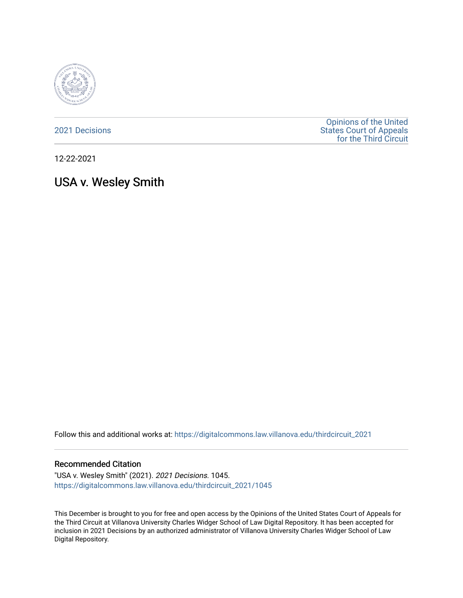

[2021 Decisions](https://digitalcommons.law.villanova.edu/thirdcircuit_2021)

[Opinions of the United](https://digitalcommons.law.villanova.edu/thirdcircuit)  [States Court of Appeals](https://digitalcommons.law.villanova.edu/thirdcircuit)  [for the Third Circuit](https://digitalcommons.law.villanova.edu/thirdcircuit) 

12-22-2021

# USA v. Wesley Smith

Follow this and additional works at: [https://digitalcommons.law.villanova.edu/thirdcircuit\\_2021](https://digitalcommons.law.villanova.edu/thirdcircuit_2021?utm_source=digitalcommons.law.villanova.edu%2Fthirdcircuit_2021%2F1045&utm_medium=PDF&utm_campaign=PDFCoverPages) 

#### Recommended Citation

"USA v. Wesley Smith" (2021). 2021 Decisions. 1045. [https://digitalcommons.law.villanova.edu/thirdcircuit\\_2021/1045](https://digitalcommons.law.villanova.edu/thirdcircuit_2021/1045?utm_source=digitalcommons.law.villanova.edu%2Fthirdcircuit_2021%2F1045&utm_medium=PDF&utm_campaign=PDFCoverPages) 

This December is brought to you for free and open access by the Opinions of the United States Court of Appeals for the Third Circuit at Villanova University Charles Widger School of Law Digital Repository. It has been accepted for inclusion in 2021 Decisions by an authorized administrator of Villanova University Charles Widger School of Law Digital Repository.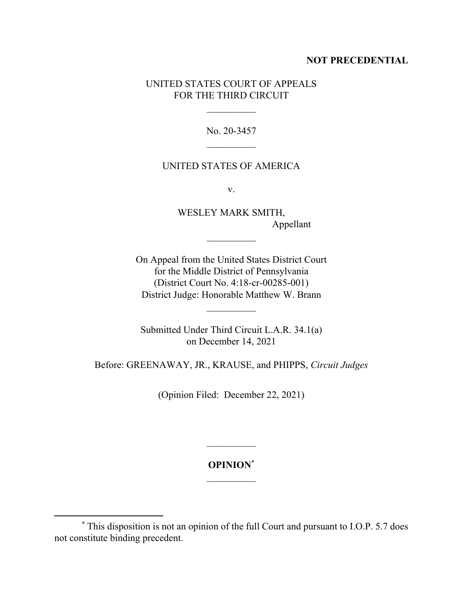## **NOT PRECEDENTIAL**

# UNITED STATES COURT OF APPEALS FOR THE THIRD CIRCUIT

 $\frac{1}{2}$ 

No. 20-3457  $\frac{1}{2}$ 

# UNITED STATES OF AMERICA

v.

WESLEY MARK SMITH, Appellant

On Appeal from the United States District Court for the Middle District of Pennsylvania (District Court No. 4:18-cr-00285-001) District Judge: Honorable Matthew W. Brann

Submitted Under Third Circuit L.A.R. 34.1(a) on December 14, 2021

Before: GREENAWAY, JR., KRAUSE, and PHIPPS, *Circuit Judges*

(Opinion Filed: December 22, 2021)

**OPINION**\*  $\mathcal{L}_\text{max}$ 

 $\mathcal{L}_\text{max}$ 

<sup>\*</sup> This disposition is not an opinion of the full Court and pursuant to I.O.P. 5.7 does not constitute binding precedent.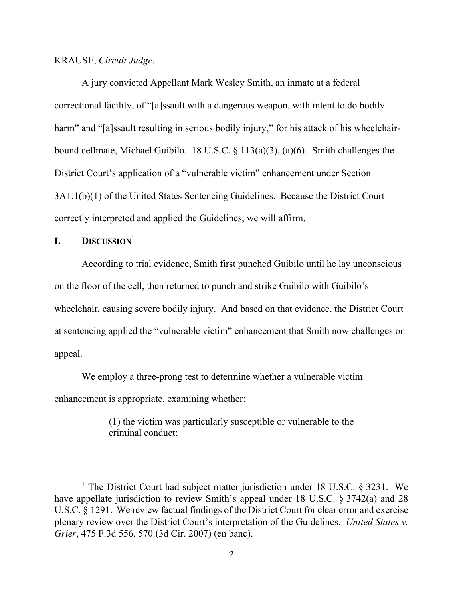#### KRAUSE, *Circuit Judge*.

A jury convicted Appellant Mark Wesley Smith, an inmate at a federal correctional facility, of "[a]ssault with a dangerous weapon, with intent to do bodily harm" and "[a]ssault resulting in serious bodily injury," for his attack of his wheelchairbound cellmate, Michael Guibilo. 18 U.S.C. § 113(a)(3), (a)(6). Smith challenges the District Court's application of a "vulnerable victim" enhancement under Section 3A1.1(b)(1) of the United States Sentencing Guidelines. Because the District Court correctly interpreted and applied the Guidelines, we will affirm.

### **I. DISCUSSION**<sup>1</sup>

According to trial evidence, Smith first punched Guibilo until he lay unconscious on the floor of the cell, then returned to punch and strike Guibilo with Guibilo's wheelchair, causing severe bodily injury. And based on that evidence, the District Court at sentencing applied the "vulnerable victim" enhancement that Smith now challenges on appeal.

We employ a three-prong test to determine whether a vulnerable victim enhancement is appropriate, examining whether:

> (1) the victim was particularly susceptible or vulnerable to the criminal conduct;

<sup>&</sup>lt;sup>1</sup> The District Court had subject matter jurisdiction under 18 U.S.C.  $\S 3231$ . We have appellate jurisdiction to review Smith's appeal under 18 U.S.C. § 3742(a) and 28 U.S.C. § 1291. We review factual findings of the District Court for clear error and exercise plenary review over the District Court's interpretation of the Guidelines. *United States v. Grier*, 475 F.3d 556, 570 (3d Cir. 2007) (en banc).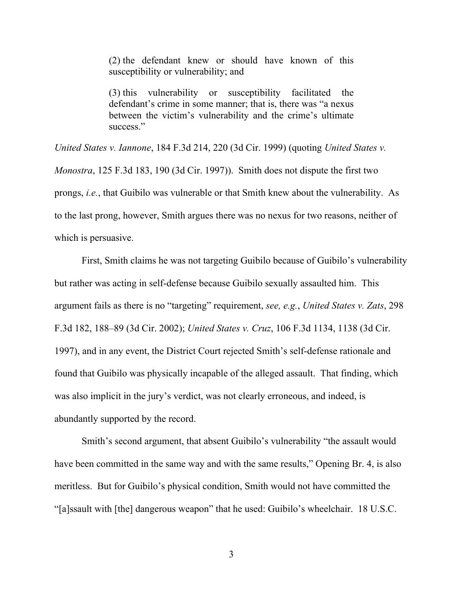(2) the defendant knew or should have known of this susceptibility or vulnerability; and

(3) this vulnerability or susceptibility facilitated the defendant's crime in some manner; that is, there was "a nexus between the victim's vulnerability and the crime's ultimate success."

*United States v. Iannone*, 184 F.3d 214, 220 (3d Cir. 1999) (quoting *United States v. Monostra*, 125 F.3d 183, 190 (3d Cir. 1997)). Smith does not dispute the first two prongs, *i.e.*, that Guibilo was vulnerable or that Smith knew about the vulnerability. As to the last prong, however, Smith argues there was no nexus for two reasons, neither of which is persuasive.

First, Smith claims he was not targeting Guibilo because of Guibilo's vulnerability but rather was acting in self-defense because Guibilo sexually assaulted him. This argument fails as there is no "targeting" requirement, *see, e.g.*, *United States v. Zats*, 298 F.3d 182, 188–89 (3d Cir. 2002); *United States v. Cruz*, 106 F.3d 1134, 1138 (3d Cir. 1997), and in any event, the District Court rejected Smith's self-defense rationale and found that Guibilo was physically incapable of the alleged assault. That finding, which was also implicit in the jury's verdict, was not clearly erroneous, and indeed, is abundantly supported by the record.

Smith's second argument, that absent Guibilo's vulnerability "the assault would have been committed in the same way and with the same results," Opening Br. 4, is also meritless. But for Guibilo's physical condition, Smith would not have committed the "[a]ssault with [the] dangerous weapon" that he used: Guibilo's wheelchair. 18 U.S.C.